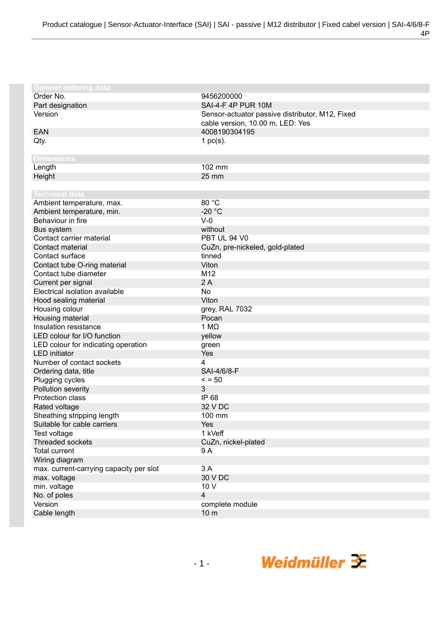| <b>General ordering data</b>            |                                                 |
|-----------------------------------------|-------------------------------------------------|
| Order No.                               | 9456200000                                      |
| Part designation                        | SAI-4-F 4P PUR 10M                              |
| Version                                 | Sensor-actuator passive distributor, M12, Fixed |
|                                         | cable version, 10.00 m, LED: Yes                |
| <b>EAN</b>                              | 4008190304195                                   |
| Qty.                                    | 1 $pc(s)$ .                                     |
|                                         |                                                 |
| <b>Dimensions</b>                       |                                                 |
| Length                                  | 102 mm                                          |
| Height                                  | 25 mm                                           |
|                                         |                                                 |
| <b>Technical data</b>                   |                                                 |
| Ambient temperature, max.               | 80 °C                                           |
| Ambient temperature, min.               | $-20 °C$                                        |
| Behaviour in fire                       | $V-0$                                           |
| Bus system                              | without                                         |
| Contact carrier material                | PBT UL 94 V0                                    |
| Contact material                        | CuZn, pre-nickeled, gold-plated                 |
| Contact surface                         | tinned                                          |
| Contact tube O-ring material            | Viton                                           |
| Contact tube diameter                   | M <sub>12</sub>                                 |
| Current per signal                      | 2A                                              |
| Electrical isolation available          | <b>No</b>                                       |
| Hood sealing material                   | Viton                                           |
| Housing colour                          | grey, RAL 7032                                  |
| Housing material                        | Pocan                                           |
| Insulation resistance                   | 1 M $\Omega$                                    |
| LED colour for I/O function             | yellow                                          |
| LED colour for indicating operation     | green                                           |
| <b>LED</b> initiator                    | Yes                                             |
| Number of contact sockets               | 4                                               |
| Ordering data, title                    | SAI-4/6/8-F                                     |
| Plugging cycles                         | $\le$ = 50                                      |
| Pollution severity                      | 3                                               |
| Protection class                        | IP 68                                           |
| Rated voltage                           | 32 V DC                                         |
| Sheathing stripping length              | 100 mm                                          |
| Suitable for cable carriers             | Yes                                             |
| Test voltage                            | 1 kVeff                                         |
| Threaded sockets                        | CuZn, nickel-plated                             |
| <b>Total current</b>                    | 9 A                                             |
| Wiring diagram                          |                                                 |
| max. current-carrying capacity per slot | 3 A                                             |
| max. voltage                            | 30 V DC                                         |
| min. voltage                            | 10 V                                            |
| No. of poles                            | 4                                               |
| Version                                 | complete module                                 |
| Cable length                            | 10 <sub>m</sub>                                 |
|                                         |                                                 |